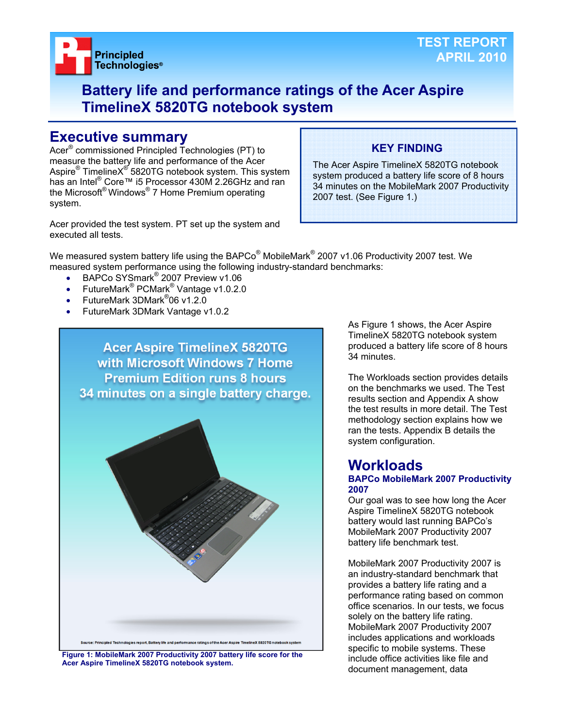

## **Battery life and performance ratings of the Acer Aspire TimelineX 5820TG notebook system**

## **Executive summary**

Acer® commissioned Principled Technologies (PT) to measure the battery life and performance of the Acer Aspire® TimelineX<sup>®</sup> 5820TG notebook system. This system has an Intel<sup>®</sup> Core™ i5 Processor 430M 2.26GHz and ran the Microsoft® Windows® 7 Home Premium operating system.

Acer provided the test system. PT set up the system and executed all tests.

## **KEY FINDING**

The Acer Aspire TimelineX 5820TG notebook system produced a battery life score of 8 hours 34 minutes on the MobileMark 2007 Productivity 2007 test. (See Figure 1.)

We measured system battery life using the BAPCo $^{\circledast}$  MobileMark $^{\circledast}$  2007 v1.06 Productivity 2007 test. We measured system performance using the following industry-standard benchmarks:

- BAPCo SYSmark<sup>®</sup> 2007 Preview v1.06
- FutureMark<sup>®</sup> PCMark<sup>®</sup> Vantage v1.0.2.0
- FutureMark 3DMark<sup>®</sup>06 v1.2.0
- FutureMark 3DMark Vantage v1.0.2



**Figure 1: MobileMark 2007 Productivity 2007 battery life score for the Acer Aspire TimelineX 5820TG notebook system.** 

As Figure 1 shows, the Acer Aspire TimelineX 5820TG notebook system produced a battery life score of 8 hours 34 minutes.

The Workloads section provides details on the benchmarks we used. The Test results section and Appendix A show the test results in more detail. The Test methodology section explains how we ran the tests. Appendix B details the system configuration.

## **Workloads**

#### **BAPCo MobileMark 2007 Productivity 2007**

Our goal was to see how long the Acer Aspire TimelineX 5820TG notebook battery would last running BAPCo's MobileMark 2007 Productivity 2007 battery life benchmark test.

MobileMark 2007 Productivity 2007 is an industry-standard benchmark that provides a battery life rating and a performance rating based on common office scenarios. In our tests, we focus solely on the battery life rating. MobileMark 2007 Productivity 2007 includes applications and workloads specific to mobile systems. These include office activities like file and document management, data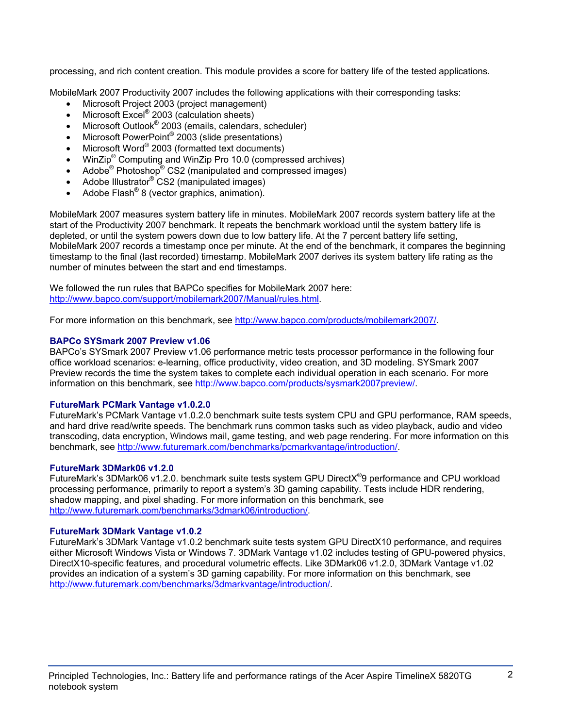processing, and rich content creation. This module provides a score for battery life of the tested applications.

MobileMark 2007 Productivity 2007 includes the following applications with their corresponding tasks:

- Microsoft Project 2003 (project management)
- $\bullet$  Microsoft Excel® 2003 (calculation sheets)
- Microsoft Outlook<sup>®</sup> 2003 (emails, calendars, scheduler)
- Microsoft PowerPoint<sup>®</sup> 2003 (slide presentations)
- Microsoft Word® 2003 (formatted text documents)
- WinZip<sup>®</sup> Computing and WinZip Pro 10.0 (compressed archives)
- Adobe<sup>®</sup> Photoshop<sup>®</sup> CS2 (manipulated and compressed images)
- Adobe Illustrator<sup>®</sup> CS2 (manipulated images)
- Adobe Flash<sup>®</sup> 8 (vector graphics, animation).

MobileMark 2007 measures system battery life in minutes. MobileMark 2007 records system battery life at the start of the Productivity 2007 benchmark. It repeats the benchmark workload until the system battery life is depleted, or until the system powers down due to low battery life. At the 7 percent battery life setting, MobileMark 2007 records a timestamp once per minute. At the end of the benchmark, it compares the beginning timestamp to the final (last recorded) timestamp. MobileMark 2007 derives its system battery life rating as the number of minutes between the start and end timestamps.

We followed the run rules that BAPCo specifies for MobileMark 2007 here: http://www.bapco.com/support/mobilemark2007/Manual/rules.html.

For more information on this benchmark, see http://www.bapco.com/products/mobilemark2007/.

## **BAPCo SYSmark 2007 Preview v1.06**

BAPCo's SYSmark 2007 Preview v1.06 performance metric tests processor performance in the following four office workload scenarios: e-learning, office productivity, video creation, and 3D modeling. SYSmark 2007 Preview records the time the system takes to complete each individual operation in each scenario. For more information on this benchmark, see http://www.bapco.com/products/sysmark2007preview/.

## **FutureMark PCMark Vantage v1.0.2.0**

FutureMark's PCMark Vantage v1.0.2.0 benchmark suite tests system CPU and GPU performance, RAM speeds, and hard drive read/write speeds. The benchmark runs common tasks such as video playback, audio and video transcoding, data encryption, Windows mail, game testing, and web page rendering. For more information on this benchmark, see http://www.futuremark.com/benchmarks/pcmarkvantage/introduction/.

## **FutureMark 3DMark06 v1.2.0**

FutureMark's 3DMark06 v1.2.0. benchmark suite tests system GPU DirectX<sup>®</sup>9 performance and CPU workload processing performance, primarily to report a system's 3D gaming capability. Tests include HDR rendering, shadow mapping, and pixel shading. For more information on this benchmark, see http://www.futuremark.com/benchmarks/3dmark06/introduction/.

## **FutureMark 3DMark Vantage v1.0.2**

FutureMark's 3DMark Vantage v1.0.2 benchmark suite tests system GPU DirectX10 performance, and requires either Microsoft Windows Vista or Windows 7. 3DMark Vantage v1.02 includes testing of GPU-powered physics, DirectX10-specific features, and procedural volumetric effects. Like 3DMark06 v1.2.0, 3DMark Vantage v1.02 provides an indication of a system's 3D gaming capability. For more information on this benchmark, see http://www.futuremark.com/benchmarks/3dmarkvantage/introduction/.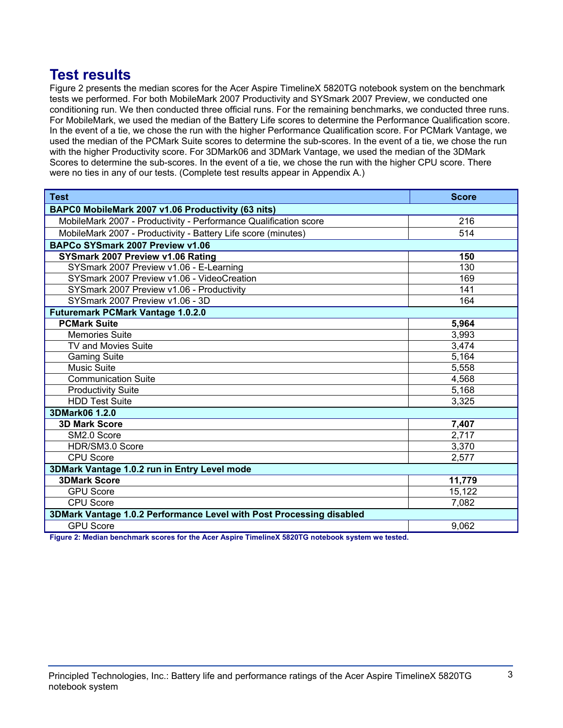## **Test results**

Figure 2 presents the median scores for the Acer Aspire TimelineX 5820TG notebook system on the benchmark tests we performed. For both MobileMark 2007 Productivity and SYSmark 2007 Preview, we conducted one conditioning run. We then conducted three official runs. For the remaining benchmarks, we conducted three runs. For MobileMark, we used the median of the Battery Life scores to determine the Performance Qualification score. In the event of a tie, we chose the run with the higher Performance Qualification score. For PCMark Vantage, we used the median of the PCMark Suite scores to determine the sub-scores. In the event of a tie, we chose the run with the higher Productivity score. For 3DMark06 and 3DMark Vantage, we used the median of the 3DMark Scores to determine the sub-scores. In the event of a tie, we chose the run with the higher CPU score. There were no ties in any of our tests. (Complete test results appear in Appendix A.)

| <b>Test</b>                                                          | <b>Score</b> |  |
|----------------------------------------------------------------------|--------------|--|
| BAPC0 MobileMark 2007 v1.06 Productivity (63 nits)                   |              |  |
| MobileMark 2007 - Productivity - Performance Qualification score     | 216          |  |
| MobileMark 2007 - Productivity - Battery Life score (minutes)        | 514          |  |
| BAPCo SYSmark 2007 Preview v1.06                                     |              |  |
| SYSmark 2007 Preview v1.06 Rating                                    | 150          |  |
| SYSmark 2007 Preview v1.06 - E-Learning                              | 130          |  |
| SYSmark 2007 Preview v1.06 - VideoCreation                           | 169          |  |
| SYSmark 2007 Preview v1.06 - Productivity                            | 141          |  |
| SYSmark 2007 Preview v1.06 - 3D                                      | 164          |  |
| <b>Futuremark PCMark Vantage 1.0.2.0</b>                             |              |  |
| <b>PCMark Suite</b>                                                  | 5,964        |  |
| <b>Memories Suite</b>                                                | 3,993        |  |
| TV and Movies Suite                                                  | 3,474        |  |
| <b>Gaming Suite</b>                                                  | 5,164        |  |
| <b>Music Suite</b>                                                   | 5,558        |  |
| <b>Communication Suite</b>                                           | 4,568        |  |
| <b>Productivity Suite</b>                                            | 5,168        |  |
| <b>HDD Test Suite</b>                                                | 3,325        |  |
| 3DMark06 1.2.0                                                       |              |  |
| <b>3D Mark Score</b>                                                 | 7,407        |  |
| SM2.0 Score                                                          | 2,717        |  |
| HDR/SM3.0 Score                                                      | 3,370        |  |
| <b>CPU Score</b>                                                     | 2,577        |  |
| 3DMark Vantage 1.0.2 run in Entry Level mode                         |              |  |
| <b>3DMark Score</b>                                                  | 11,779       |  |
| <b>GPU Score</b>                                                     | 15,122       |  |
| <b>CPU Score</b>                                                     | 7,082        |  |
| 3DMark Vantage 1.0.2 Performance Level with Post Processing disabled |              |  |
| <b>GPU Score</b>                                                     | 9,062        |  |

**Figure 2: Median benchmark scores for the Acer Aspire TimelineX 5820TG notebook system we tested.**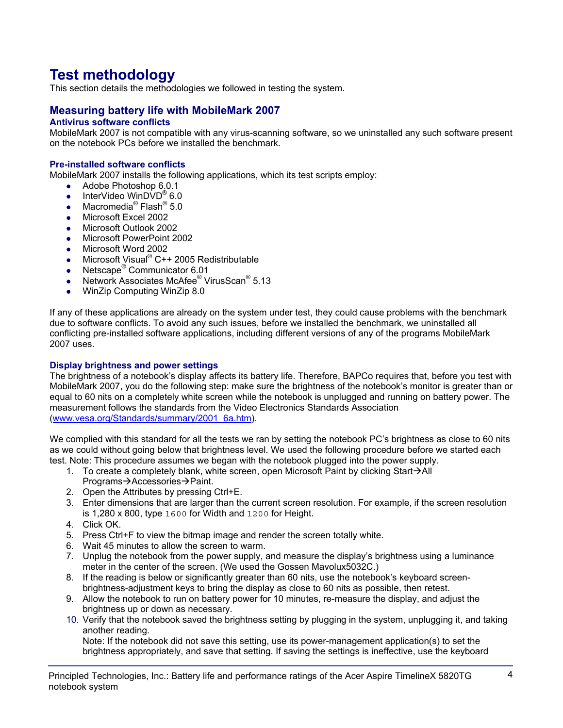# **Test methodology**

This section details the methodologies we followed in testing the system.

## **Measuring battery life with MobileMark 2007**

## **Antivirus software conflicts**

MobileMark 2007 is not compatible with any virus-scanning software, so we uninstalled any such software present on the notebook PCs before we installed the benchmark.

#### **Pre-installed software conflicts**

MobileMark 2007 installs the following applications, which its test scripts employ:

- $\bullet$  Adobe Photoshop 6.0.1
- InterVideo WinDVD<sup>®</sup> 6.0
- Macromedia<sup>®</sup> Flash<sup>®</sup> 5.0
- Microsoft Excel 2002
- Microsoft Outlook 2002
- Microsoft PowerPoint 2002
- Microsoft Word 2002
- Microsoft Visual® C++ 2005 Redistributable
- Netscape<sup>®</sup> Communicator 6.01
- Network Associates McAfee<sup>®</sup> VirusScan<sup>®</sup> 5.13
- WinZip Computing WinZip 8.0

If any of these applications are already on the system under test, they could cause problems with the benchmark due to software conflicts. To avoid any such issues, before we installed the benchmark, we uninstalled all conflicting pre-installed software applications, including different versions of any of the programs MobileMark 2007 uses.

#### **Display brightness and power settings**

The brightness of a notebook's display affects its battery life. Therefore, BAPCo requires that, before you test with MobileMark 2007, you do the following step: make sure the brightness of the notebook's monitor is greater than or equal to 60 nits on a completely white screen while the notebook is unplugged and running on battery power. The measurement follows the standards from the Video Electronics Standards Association (www.vesa.org/Standards/summary/2001\_6a.htm).

We complied with this standard for all the tests we ran by setting the notebook PC's brightness as close to 60 nits as we could without going below that brightness level. We used the following procedure before we started each test. Note: This procedure assumes we began with the notebook plugged into the power supply.

- 1. To create a completely blank, white screen, open Microsoft Paint by clicking Start $\rightarrow$ All Programs→Accessories→Paint.
- 2. Open the Attributes by pressing Ctrl+E.
- 3. Enter dimensions that are larger than the current screen resolution. For example, if the screen resolution is 1,280 x 800, type 1600 for Width and 1200 for Height.
- 4. Click OK.
- 5. Press Ctrl+F to view the bitmap image and render the screen totally white.
- 6. Wait 45 minutes to allow the screen to warm.
- 7. Unplug the notebook from the power supply, and measure the display's brightness using a luminance meter in the center of the screen. (We used the Gossen Mavolux5032C.)
- 8. If the reading is below or significantly greater than 60 nits, use the notebook's keyboard screenbrightness-adjustment keys to bring the display as close to 60 nits as possible, then retest.
- 9. Allow the notebook to run on battery power for 10 minutes, re-measure the display, and adjust the brightness up or down as necessary.
- 10. Verify that the notebook saved the brightness setting by plugging in the system, unplugging it, and taking another reading.

Note: If the notebook did not save this setting, use its power-management application(s) to set the brightness appropriately, and save that setting. If saving the settings is ineffective, use the keyboard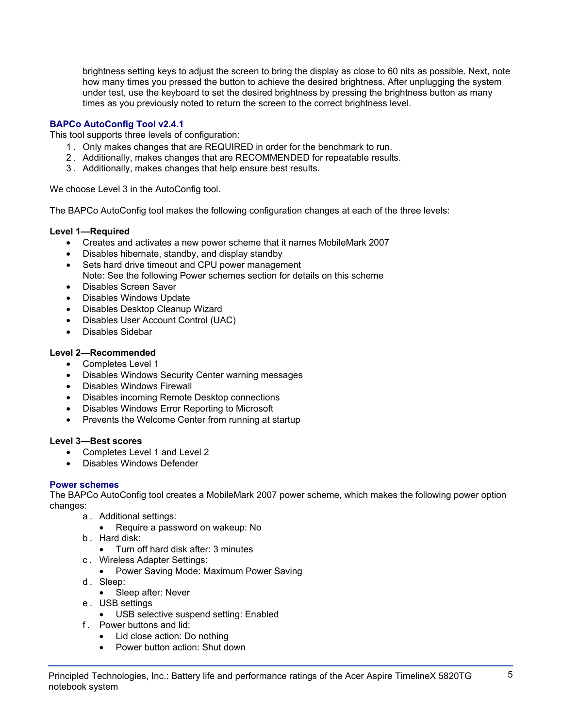brightness setting keys to adjust the screen to bring the display as close to 60 nits as possible. Next, note how many times you pressed the button to achieve the desired brightness. After unplugging the system under test, use the keyboard to set the desired brightness by pressing the brightness button as many times as you previously noted to return the screen to the correct brightness level.

## **BAPCo AutoConfig Tool v2.4.1**

This tool supports three levels of configuration:

- 1 . Only makes changes that are REQUIRED in order for the benchmark to run.
- 2 . Additionally, makes changes that are RECOMMENDED for repeatable results.
- 3 . Additionally, makes changes that help ensure best results.

We choose Level 3 in the AutoConfig tool.

The BAPCo AutoConfig tool makes the following configuration changes at each of the three levels:

## **Level 1—Required**

- Creates and activates a new power scheme that it names MobileMark 2007
- Disables hibernate, standby, and display standby
- Sets hard drive timeout and CPU power management Note: See the following Power schemes section for details on this scheme
- Disables Screen Saver
- Disables Windows Update
- Disables Desktop Cleanup Wizard
- Disables User Account Control (UAC)
- Disables Sidebar

## **Level 2—Recommended**

- Completes Level 1
- Disables Windows Security Center warning messages
- Disables Windows Firewall
- Disables incoming Remote Desktop connections
- Disables Windows Error Reporting to Microsoft
- Prevents the Welcome Center from running at startup

## **Level 3—Best scores**

- Completes Level 1 and Level 2
- Disables Windows Defender

## **Power schemes**

The BAPCo AutoConfig tool creates a MobileMark 2007 power scheme, which makes the following power option changes:

- a . Additional settings:
	- Require a password on wakeup: No
- b . Hard disk:
	- Turn off hard disk after: 3 minutes
- c . Wireless Adapter Settings:
	- Power Saving Mode: Maximum Power Saving
- d. Sleep:
	- Sleep after: Never
- e . USB settings
	- USB selective suspend setting: Enabled
- f . Power buttons and lid:
	- Lid close action: Do nothing
	- Power button action: Shut down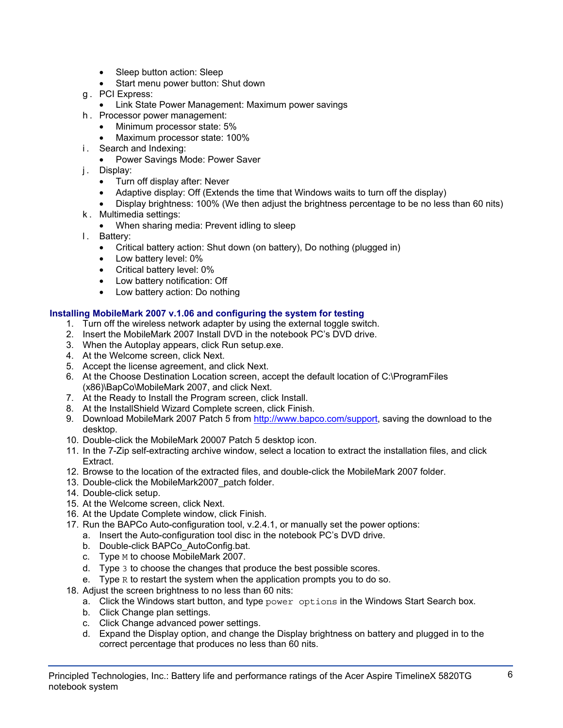- Sleep button action: Sleep
- Start menu power button: Shut down
- g . PCI Express:
	- Link State Power Management: Maximum power savings
- h . Processor power management:
	- Minimum processor state: 5%
	- Maximum processor state: 100%
- i. Search and Indexing:
	- Power Savings Mode: Power Saver
- j. Display:
	- Turn off display after: Never
	- Adaptive display: Off (Extends the time that Windows waits to turn off the display)
	- Display brightness: 100% (We then adjust the brightness percentage to be no less than 60 nits)
- k . Multimedia settings:
	- When sharing media: Prevent idling to sleep
- l. Battery:
	- Critical battery action: Shut down (on battery), Do nothing (plugged in)
	- Low battery level: 0%
	- Critical battery level: 0%
	- Low battery notification: Off
	- Low battery action: Do nothing

## **Installing MobileMark 2007 v.1.06 and configuring the system for testing**

- 1. Turn off the wireless network adapter by using the external toggle switch.
- 2. Insert the MobileMark 2007 Install DVD in the notebook PC's DVD drive.
- 3. When the Autoplay appears, click Run setup.exe.
- 4. At the Welcome screen, click Next.
- 5. Accept the license agreement, and click Next.
- 6. At the Choose Destination Location screen, accept the default location of C:\ProgramFiles (x86)\BapCo\MobileMark 2007, and click Next.
- 7. At the Ready to Install the Program screen, click Install.
- 8. At the InstallShield Wizard Complete screen, click Finish.
- 9. Download MobileMark 2007 Patch 5 from http://www.bapco.com/support, saving the download to the desktop.
- 10. Double-click the MobileMark 20007 Patch 5 desktop icon.
- 11. In the 7-Zip self-extracting archive window, select a location to extract the installation files, and click Extract.
- 12. Browse to the location of the extracted files, and double-click the MobileMark 2007 folder.
- 13. Double-click the MobileMark2007\_patch folder.
- 14. Double-click setup.
- 15. At the Welcome screen, click Next.
- 16. At the Update Complete window, click Finish.
- 17. Run the BAPCo Auto-configuration tool, v.2.4.1, or manually set the power options:
	- a. Insert the Auto-configuration tool disc in the notebook PC's DVD drive.
	- b. Double-click BAPCo\_AutoConfig.bat.
	- c. Type M to choose MobileMark 2007.
	- d. Type 3 to choose the changes that produce the best possible scores.
	- e. Type R to restart the system when the application prompts you to do so.
- 18. Adjust the screen brightness to no less than 60 nits:
	- a. Click the Windows start button, and type power options in the Windows Start Search box.
	- b. Click Change plan settings.
	- c. Click Change advanced power settings.
	- d. Expand the Display option, and change the Display brightness on battery and plugged in to the correct percentage that produces no less than 60 nits.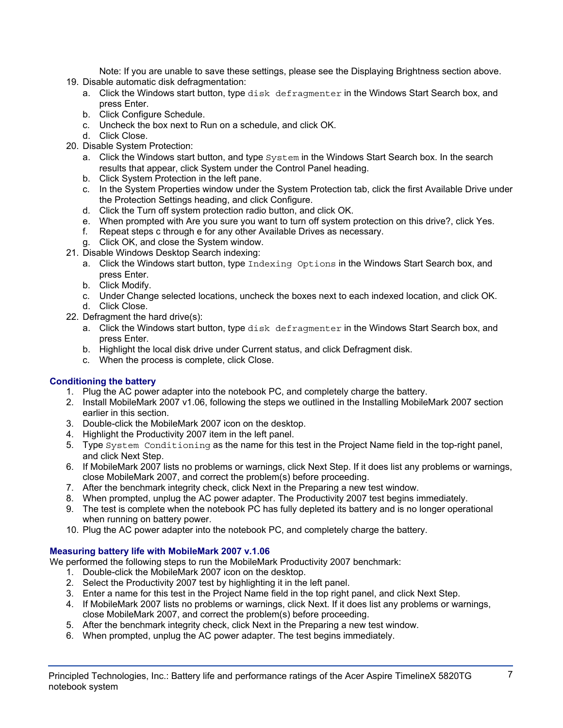Note: If you are unable to save these settings, please see the Displaying Brightness section above.

- 19. Disable automatic disk defragmentation:
	- a. Click the Windows start button, type disk defragmenter in the Windows Start Search box, and press Enter.
	- b. Click Configure Schedule.
	- c. Uncheck the box next to Run on a schedule, and click OK.
	- d. Click Close.
- 20. Disable System Protection:
	- a. Click the Windows start button, and type  $System$  in the Windows Start Search box. In the search results that appear, click System under the Control Panel heading.
	- b. Click System Protection in the left pane.
	- c. In the System Properties window under the System Protection tab, click the first Available Drive under the Protection Settings heading, and click Configure.
	- d. Click the Turn off system protection radio button, and click OK.
	- e. When prompted with Are you sure you want to turn off system protection on this drive?, click Yes.
	- f. Repeat steps c through e for any other Available Drives as necessary.
	- g. Click OK, and close the System window.
- 21. Disable Windows Desktop Search indexing:
	- a. Click the Windows start button, type Indexing Options in the Windows Start Search box, and press Enter.
	- b. Click Modify.
	- c. Under Change selected locations, uncheck the boxes next to each indexed location, and click OK. d. Click Close.
- 22. Defragment the hard drive(s):
	- a. Click the Windows start button, type disk defragmenter in the Windows Start Search box, and press Enter.
	- b. Highlight the local disk drive under Current status, and click Defragment disk.
	- c. When the process is complete, click Close.

## **Conditioning the battery**

- 1. Plug the AC power adapter into the notebook PC, and completely charge the battery.
- 2. Install MobileMark 2007 v1.06, following the steps we outlined in the Installing MobileMark 2007 section earlier in this section.
- 3. Double-click the MobileMark 2007 icon on the desktop.
- 4. Highlight the Productivity 2007 item in the left panel.
- 5. Type System Conditioning as the name for this test in the Project Name field in the top-right panel, and click Next Step.
- 6. If MobileMark 2007 lists no problems or warnings, click Next Step. If it does list any problems or warnings, close MobileMark 2007, and correct the problem(s) before proceeding.
- 7. After the benchmark integrity check, click Next in the Preparing a new test window.
- 8. When prompted, unplug the AC power adapter. The Productivity 2007 test begins immediately.
- 9. The test is complete when the notebook PC has fully depleted its battery and is no longer operational when running on battery power.
- 10. Plug the AC power adapter into the notebook PC, and completely charge the battery.

## **Measuring battery life with MobileMark 2007 v.1.06**

We performed the following steps to run the MobileMark Productivity 2007 benchmark:

- 1. Double-click the MobileMark 2007 icon on the desktop.
- 2. Select the Productivity 2007 test by highlighting it in the left panel.
- 3. Enter a name for this test in the Project Name field in the top right panel, and click Next Step.
- 4. If MobileMark 2007 lists no problems or warnings, click Next. If it does list any problems or warnings, close MobileMark 2007, and correct the problem(s) before proceeding.
- 5. After the benchmark integrity check, click Next in the Preparing a new test window.
- 6. When prompted, unplug the AC power adapter. The test begins immediately.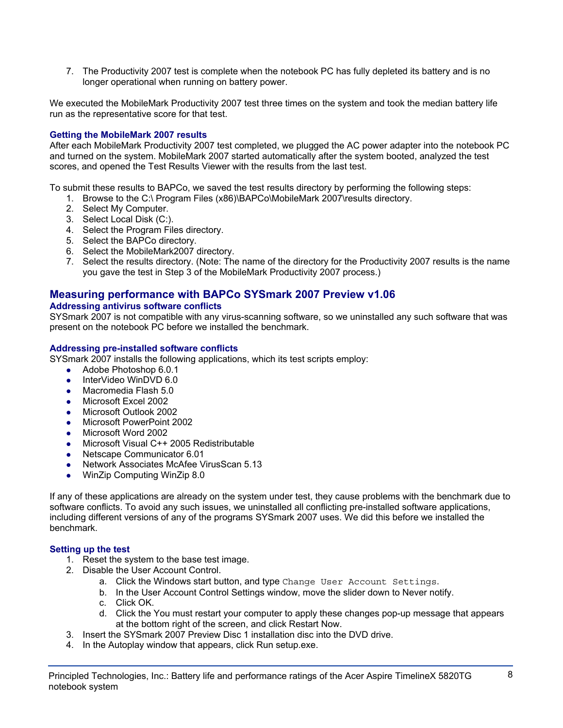7. The Productivity 2007 test is complete when the notebook PC has fully depleted its battery and is no longer operational when running on battery power.

We executed the MobileMark Productivity 2007 test three times on the system and took the median battery life run as the representative score for that test.

## **Getting the MobileMark 2007 results**

After each MobileMark Productivity 2007 test completed, we plugged the AC power adapter into the notebook PC and turned on the system. MobileMark 2007 started automatically after the system booted, analyzed the test scores, and opened the Test Results Viewer with the results from the last test.

To submit these results to BAPCo, we saved the test results directory by performing the following steps:

- 1. Browse to the C:\ Program Files (x86)\BAPCo\MobileMark 2007\results directory.
- 2. Select My Computer.
- 3. Select Local Disk (C:).
- 4. Select the Program Files directory.
- 5. Select the BAPCo directory.
- 6. Select the MobileMark2007 directory.
- 7. Select the results directory. (Note: The name of the directory for the Productivity 2007 results is the name you gave the test in Step 3 of the MobileMark Productivity 2007 process.)

## **Measuring performance with BAPCo SYSmark 2007 Preview v1.06**

#### **Addressing antivirus software conflicts**

SYSmark 2007 is not compatible with any virus-scanning software, so we uninstalled any such software that was present on the notebook PC before we installed the benchmark.

#### **Addressing pre-installed software conflicts**

SYSmark 2007 installs the following applications, which its test scripts employ:

- $\bullet$  Adobe Photoshop 6.0.1
- InterVideo WinDVD 6.0
- Macromedia Flash 5.0
- Microsoft Excel 2002
- Microsoft Outlook 2002
- Microsoft PowerPoint 2002
- Microsoft Word 2002
- Microsoft Visual C++ 2005 Redistributable
- Netscape Communicator 6.01
- Network Associates McAfee VirusScan 5.13
- WinZip Computing WinZip 8.0

If any of these applications are already on the system under test, they cause problems with the benchmark due to software conflicts. To avoid any such issues, we uninstalled all conflicting pre-installed software applications, including different versions of any of the programs SYSmark 2007 uses. We did this before we installed the benchmark.

## **Setting up the test**

- 1. Reset the system to the base test image.
- 2. Disable the User Account Control.
	- a. Click the Windows start button, and type Change User Account Settings.
	- b. In the User Account Control Settings window, move the slider down to Never notify.
	- c. Click OK.
	- d. Click the You must restart your computer to apply these changes pop-up message that appears at the bottom right of the screen, and click Restart Now.
- 3. Insert the SYSmark 2007 Preview Disc 1 installation disc into the DVD drive.
- 4. In the Autoplay window that appears, click Run setup.exe.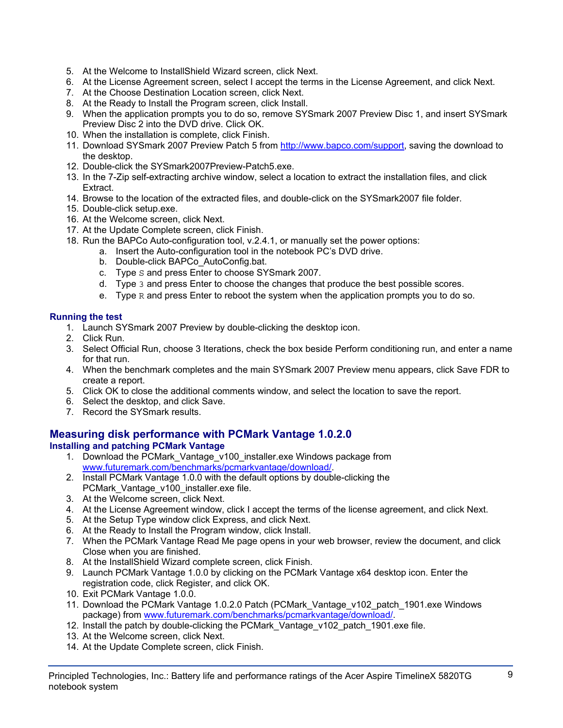- 5. At the Welcome to InstallShield Wizard screen, click Next.
- 6. At the License Agreement screen, select I accept the terms in the License Agreement, and click Next.
- 7. At the Choose Destination Location screen, click Next.
- 8. At the Ready to Install the Program screen, click Install.
- 9. When the application prompts you to do so, remove SYSmark 2007 Preview Disc 1, and insert SYSmark Preview Disc 2 into the DVD drive. Click OK.
- 10. When the installation is complete, click Finish.
- 11. Download SYSmark 2007 Preview Patch 5 from http://www.bapco.com/support, saving the download to the desktop.
- 12. Double-click the SYSmark2007Preview-Patch5.exe.
- 13. In the 7-Zip self-extracting archive window, select a location to extract the installation files, and click Extract.
- 14. Browse to the location of the extracted files, and double-click on the SYSmark2007 file folder.
- 15. Double-click setup.exe.
- 16. At the Welcome screen, click Next.
- 17. At the Update Complete screen, click Finish.
- 18. Run the BAPCo Auto-configuration tool, v.2.4.1, or manually set the power options:
	- a. Insert the Auto-configuration tool in the notebook PC's DVD drive.
		- b. Double-click BAPCo\_AutoConfig.bat.
		- c. Type S and press Enter to choose SYSmark 2007.
		- d. Type 3 and press Enter to choose the changes that produce the best possible scores.
		- e. Type  $R$  and press Enter to reboot the system when the application prompts you to do so.

## **Running the test**

- 1. Launch SYSmark 2007 Preview by double-clicking the desktop icon.
- 2. Click Run.
- 3. Select Official Run, choose 3 Iterations, check the box beside Perform conditioning run, and enter a name for that run.
- 4. When the benchmark completes and the main SYSmark 2007 Preview menu appears, click Save FDR to create a report.
- 5. Click OK to close the additional comments window, and select the location to save the report.
- 6. Select the desktop, and click Save.
- 7. Record the SYSmark results.

## **Measuring disk performance with PCMark Vantage 1.0.2.0**

## **Installing and patching PCMark Vantage**

- 1. Download the PCMark\_Vantage\_v100\_installer.exe Windows package from www.futuremark.com/benchmarks/pcmarkvantage/download/.
- 2. Install PCMark Vantage 1.0.0 with the default options by double-clicking the PCMark\_Vantage\_v100\_installer.exe file.
- 3. At the Welcome screen, click Next.
- 4. At the License Agreement window, click I accept the terms of the license agreement, and click Next.
- 5. At the Setup Type window click Express, and click Next.
- 6. At the Ready to Install the Program window, click Install.
- 7. When the PCMark Vantage Read Me page opens in your web browser, review the document, and click Close when you are finished.
- 8. At the InstallShield Wizard complete screen, click Finish.
- 9. Launch PCMark Vantage 1.0.0 by clicking on the PCMark Vantage x64 desktop icon. Enter the registration code, click Register, and click OK.
- 10. Exit PCMark Vantage 1.0.0.
- 11. Download the PCMark Vantage 1.0.2.0 Patch (PCMark\_Vantage\_v102\_patch\_1901.exe Windows package) from www.futuremark.com/benchmarks/pcmarkvantage/download/.
- 12. Install the patch by double-clicking the PCMark Vantage v102 patch 1901.exe file.
- 13. At the Welcome screen, click Next.
- 14. At the Update Complete screen, click Finish.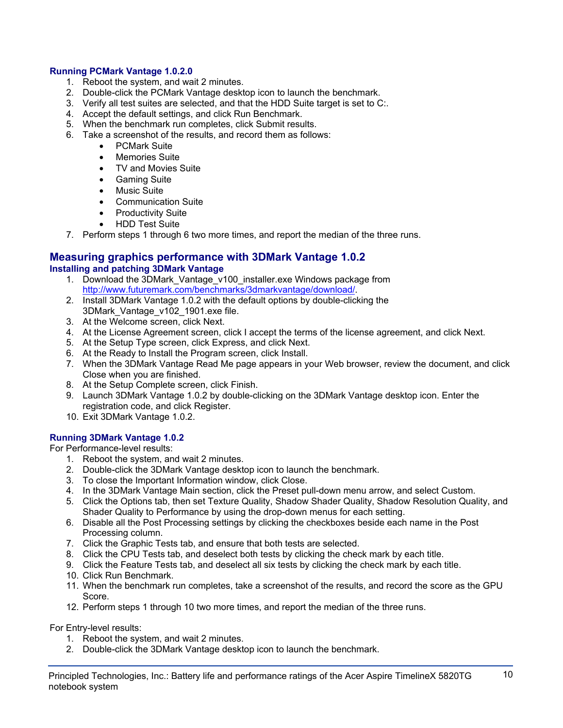## **Running PCMark Vantage 1.0.2.0**

- 1. Reboot the system, and wait 2 minutes.
- 2. Double-click the PCMark Vantage desktop icon to launch the benchmark.
- 3. Verify all test suites are selected, and that the HDD Suite target is set to C:.
- 4. Accept the default settings, and click Run Benchmark.
- 5. When the benchmark run completes, click Submit results.
- 6. Take a screenshot of the results, and record them as follows:
	- PCMark Suite
	- Memories Suite
	- TV and Movies Suite
	- Gaming Suite
	- Music Suite
	- Communication Suite
	- Productivity Suite
	- HDD Test Suite
- 7. Perform steps 1 through 6 two more times, and report the median of the three runs.

#### **Measuring graphics performance with 3DMark Vantage 1.0.2 Installing and patching 3DMark Vantage**

- 1. Download the 3DMark\_Vantage\_v100\_installer.exe Windows package from http://www.futuremark.com/benchmarks/3dmarkvantage/download/.
- 2. Install 3DMark Vantage 1.0.2 with the default options by double-clicking the 3DMark\_Vantage\_v102\_1901.exe file.
- 3. At the Welcome screen, click Next.
- 4. At the License Agreement screen, click I accept the terms of the license agreement, and click Next.
- 5. At the Setup Type screen, click Express, and click Next.
- 6. At the Ready to Install the Program screen, click Install.
- 7. When the 3DMark Vantage Read Me page appears in your Web browser, review the document, and click Close when you are finished.
- 8. At the Setup Complete screen, click Finish.
- 9. Launch 3DMark Vantage 1.0.2 by double-clicking on the 3DMark Vantage desktop icon. Enter the registration code, and click Register.
- 10. Exit 3DMark Vantage 1.0.2.

## **Running 3DMark Vantage 1.0.2**

For Performance-level results:

- 1. Reboot the system, and wait 2 minutes.
- 2. Double-click the 3DMark Vantage desktop icon to launch the benchmark.
- 3. To close the Important Information window, click Close.
- 4. In the 3DMark Vantage Main section, click the Preset pull-down menu arrow, and select Custom.
- 5. Click the Options tab, then set Texture Quality, Shadow Shader Quality, Shadow Resolution Quality, and Shader Quality to Performance by using the drop-down menus for each setting.
- 6. Disable all the Post Processing settings by clicking the checkboxes beside each name in the Post Processing column.
- 7. Click the Graphic Tests tab, and ensure that both tests are selected.
- 8. Click the CPU Tests tab, and deselect both tests by clicking the check mark by each title.
- 9. Click the Feature Tests tab, and deselect all six tests by clicking the check mark by each title.
- 10. Click Run Benchmark.
- 11. When the benchmark run completes, take a screenshot of the results, and record the score as the GPU Score.
- 12. Perform steps 1 through 10 two more times, and report the median of the three runs.

For Entry-level results:

- 1. Reboot the system, and wait 2 minutes.
- 2. Double-click the 3DMark Vantage desktop icon to launch the benchmark.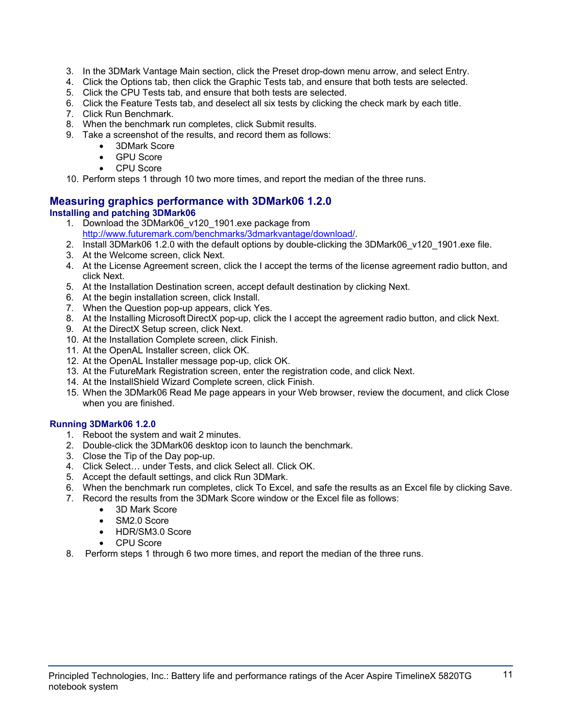- 3. In the 3DMark Vantage Main section, click the Preset drop-down menu arrow, and select Entry.
- 4. Click the Options tab, then click the Graphic Tests tab, and ensure that both tests are selected.
- 5. Click the CPU Tests tab, and ensure that both tests are selected.
- 6. Click the Feature Tests tab, and deselect all six tests by clicking the check mark by each title.
- 7. Click Run Benchmark.
- 8. When the benchmark run completes, click Submit results.
- 9. Take a screenshot of the results, and record them as follows:
	- 3DMark Score
	- **GPU Score**
	- CPU Score

10. Perform steps 1 through 10 two more times, and report the median of the three runs.

## **Measuring graphics performance with 3DMark06 1.2.0 Installing and patching 3DMark06**

- 1. Download the 3DMark06\_v120\_1901.exe package from http://www.futuremark.com/benchmarks/3dmarkvantage/download/.
- 2. Install 3DMark06 1.2.0 with the default options by double-clicking the 3DMark06 v120 1901.exe file.
- 3. At the Welcome screen, click Next.
- 4. At the License Agreement screen, click the I accept the terms of the license agreement radio button, and click Next.
- 5. At the Installation Destination screen, accept default destination by clicking Next.
- 6. At the begin installation screen, click Install.
- 7. When the Question pop-up appears, click Yes.
- 8. At the Installing Microsoft DirectX pop-up, click the I accept the agreement radio button, and click Next.
- 9. At the DirectX Setup screen, click Next.
- 10. At the Installation Complete screen, click Finish.
- 11. At the OpenAL Installer screen, click OK.
- 12. At the OpenAL Installer message pop-up, click OK.
- 13. At the FutureMark Registration screen, enter the registration code, and click Next.
- 14. At the InstallShield Wizard Complete screen, click Finish.
- 15. When the 3DMark06 Read Me page appears in your Web browser, review the document, and click Close when you are finished.

## **Running 3DMark06 1.2.0**

- 1. Reboot the system and wait 2 minutes.
- 2. Double-click the 3DMark06 desktop icon to launch the benchmark.
- 3. Close the Tip of the Day pop-up.
- 4. Click Select… under Tests, and click Select all. Click OK.
- 5. Accept the default settings, and click Run 3DMark.
- 6. When the benchmark run completes, click To Excel, and safe the results as an Excel file by clicking Save.
- 7. Record the results from the 3DMark Score window or the Excel file as follows:
	- 3D Mark Score
	- SM2.0 Score
	- HDR/SM3.0 Score
	- CPU Score
- 8. Perform steps 1 through 6 two more times, and report the median of the three runs.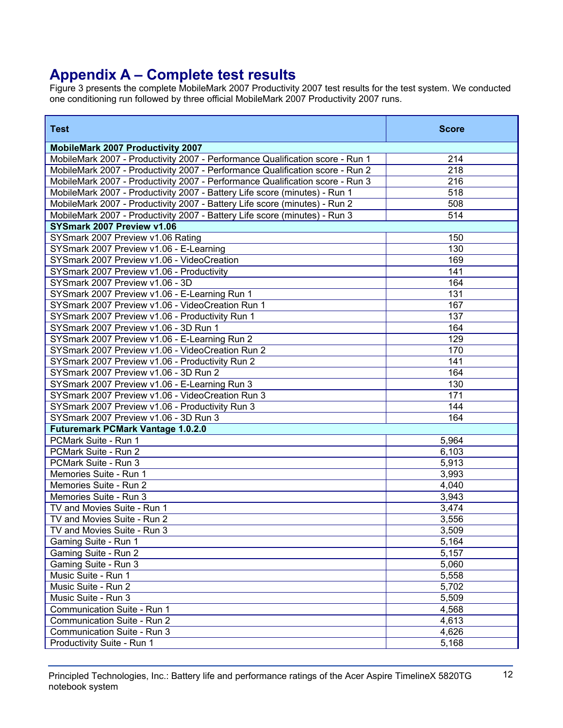# **Appendix A – Complete test results**

Figure 3 presents the complete MobileMark 2007 Productivity 2007 test results for the test system. We conducted one conditioning run followed by three official MobileMark 2007 Productivity 2007 runs.

| <b>Test</b>                                                                   | <b>Score</b> |
|-------------------------------------------------------------------------------|--------------|
| <b>MobileMark 2007 Productivity 2007</b>                                      |              |
| MobileMark 2007 - Productivity 2007 - Performance Qualification score - Run 1 | 214          |
| MobileMark 2007 - Productivity 2007 - Performance Qualification score - Run 2 | 218          |
| MobileMark 2007 - Productivity 2007 - Performance Qualification score - Run 3 | 216          |
| MobileMark 2007 - Productivity 2007 - Battery Life score (minutes) - Run 1    | 518          |
| MobileMark 2007 - Productivity 2007 - Battery Life score (minutes) - Run 2    | 508          |
| MobileMark 2007 - Productivity 2007 - Battery Life score (minutes) - Run 3    | 514          |
| SYSmark 2007 Preview v1.06                                                    |              |
| SYSmark 2007 Preview v1.06 Rating                                             | 150          |
| SYSmark 2007 Preview v1.06 - E-Learning                                       | 130          |
| SYSmark 2007 Preview v1.06 - VideoCreation                                    | 169          |
| SYSmark 2007 Preview v1.06 - Productivity                                     | 141          |
| SYSmark 2007 Preview v1.06 - 3D                                               | 164          |
| SYSmark 2007 Preview v1.06 - E-Learning Run 1                                 | 131          |
| SYSmark 2007 Preview v1.06 - VideoCreation Run 1                              | 167          |
| SYSmark 2007 Preview v1.06 - Productivity Run 1                               | 137          |
| SYSmark 2007 Preview v1.06 - 3D Run 1                                         | 164          |
| SYSmark 2007 Preview v1.06 - E-Learning Run 2                                 | 129          |
| SYSmark 2007 Preview v1.06 - VideoCreation Run 2                              | 170          |
| SYSmark 2007 Preview v1.06 - Productivity Run 2                               | 141          |
| SYSmark 2007 Preview v1.06 - 3D Run 2                                         | 164          |
| SYSmark 2007 Preview v1.06 - E-Learning Run 3                                 | 130          |
| SYSmark 2007 Preview v1.06 - VideoCreation Run 3                              | 171          |
| SYSmark 2007 Preview v1.06 - Productivity Run 3                               | 144          |
| SYSmark 2007 Preview v1.06 - 3D Run 3                                         | 164          |
| <b>Futuremark PCMark Vantage 1.0.2.0</b>                                      |              |
| PCMark Suite - Run 1                                                          | 5,964        |
| PCMark Suite - Run 2                                                          | 6,103        |
| PCMark Suite - Run 3                                                          | 5,913        |
| Memories Suite - Run 1                                                        | 3,993        |
| Memories Suite - Run 2                                                        | 4,040        |
| Memories Suite - Run 3                                                        | 3,943        |
| TV and Movies Suite - Run 1                                                   | 3,474        |
| TV and Movies Suite - Run 2                                                   | 3,556        |
| TV and Movies Suite - Run 3                                                   | 3,509        |
| Gaming Suite - Run 1                                                          | 5,164        |
| Gaming Suite - Run 2                                                          | 5,157        |
| Gaming Suite - Run 3                                                          | 5,060        |
| Music Suite - Run 1                                                           | 5,558        |
| Music Suite - Run 2                                                           | 5,702        |
| Music Suite - Run 3                                                           | 5,509        |
| Communication Suite - Run 1                                                   | 4,568        |
| Communication Suite - Run 2                                                   | 4,613        |
| Communication Suite - Run 3                                                   | 4,626        |
| Productivity Suite - Run 1                                                    | 5,168        |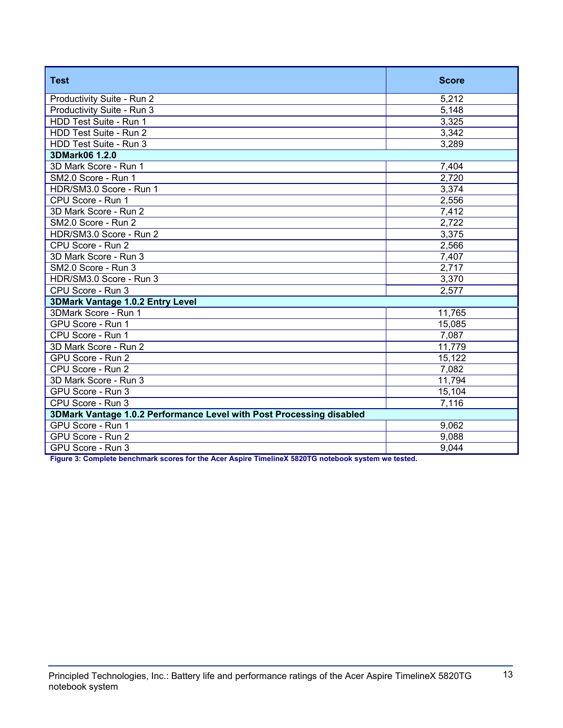| <b>Test</b>                                                          | <b>Score</b> |  |
|----------------------------------------------------------------------|--------------|--|
| Productivity Suite - Run 2                                           | 5,212        |  |
| Productivity Suite - Run 3                                           | 5,148        |  |
| HDD Test Suite - Run 1                                               | 3,325        |  |
| HDD Test Suite - Run 2                                               | 3,342        |  |
| HDD Test Suite - Run 3                                               | 3,289        |  |
| 3DMark06 1.2.0                                                       |              |  |
| 3D Mark Score - Run 1                                                | 7,404        |  |
| SM2.0 Score - Run 1                                                  | 2,720        |  |
| HDR/SM3.0 Score - Run 1                                              | 3,374        |  |
| CPU Score - Run 1                                                    | 2,556        |  |
| 3D Mark Score - Run 2                                                | 7,412        |  |
| SM2.0 Score - Run 2                                                  | 2,722        |  |
| HDR/SM3.0 Score - Run 2                                              | 3,375        |  |
| CPU Score - Run 2                                                    | 2,566        |  |
| 3D Mark Score - Run 3                                                | 7,407        |  |
| SM2.0 Score - Run 3                                                  | 2,717        |  |
| HDR/SM3.0 Score - Run 3                                              | 3,370        |  |
| CPU Score - Run 3                                                    | 2,577        |  |
| <b>3DMark Vantage 1.0.2 Entry Level</b>                              |              |  |
| 3DMark Score - Run 1                                                 | 11,765       |  |
| GPU Score - Run 1                                                    | 15,085       |  |
| CPU Score - Run 1                                                    | 7,087        |  |
| 3D Mark Score - Run 2                                                | 11,779       |  |
| GPU Score - Run 2                                                    | 15,122       |  |
| CPU Score - Run 2                                                    | 7,082        |  |
| 3D Mark Score - Run 3                                                | 11,794       |  |
| GPU Score - Run 3                                                    | 15,104       |  |
| CPU Score - Run 3                                                    | 7,116        |  |
| 3DMark Vantage 1.0.2 Performance Level with Post Processing disabled |              |  |
| GPU Score - Run 1                                                    | 9,062        |  |
| GPU Score - Run 2                                                    | 9,088        |  |
| GPU Score - Run 3                                                    | 9,044        |  |

**Figure 3: Complete benchmark scores for the Acer Aspire TimelineX 5820TG notebook system we tested.**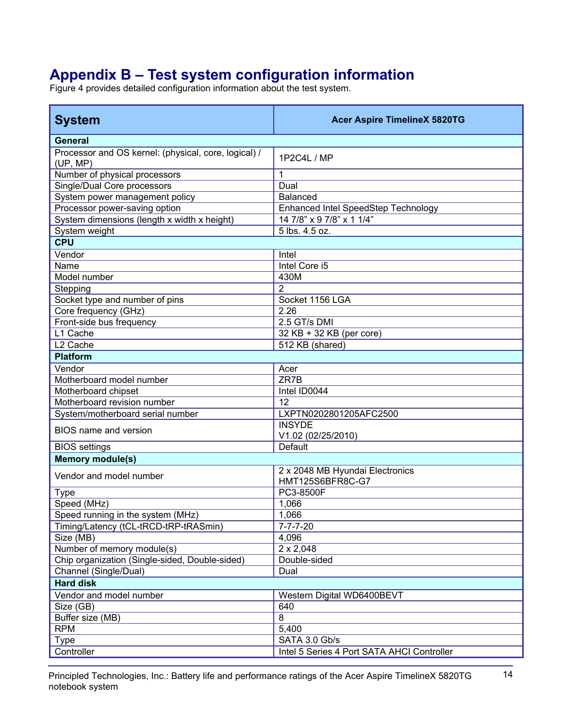# **Appendix B – Test system configuration information**

Figure 4 provides detailed configuration information about the test system.

| <b>General</b><br>Processor and OS kernel: (physical, core, logical) /<br>1P2C4L / MP<br>(UP, MP)<br>Number of physical processors<br>1<br>Single/Dual Core processors<br>Dual<br>System power management policy<br><b>Balanced</b><br>Processor power-saving option<br>Enhanced Intel SpeedStep Technology<br>System dimensions (length x width x height)<br>14 7/8" x 9 7/8" x 1 1/4"<br>5 lbs. 4.5 oz.<br>System weight<br><b>CPU</b><br>Vendor<br>Intel<br>Name<br>Intel Core i5<br>430M<br>Model number |
|--------------------------------------------------------------------------------------------------------------------------------------------------------------------------------------------------------------------------------------------------------------------------------------------------------------------------------------------------------------------------------------------------------------------------------------------------------------------------------------------------------------|
|                                                                                                                                                                                                                                                                                                                                                                                                                                                                                                              |
|                                                                                                                                                                                                                                                                                                                                                                                                                                                                                                              |
|                                                                                                                                                                                                                                                                                                                                                                                                                                                                                                              |
|                                                                                                                                                                                                                                                                                                                                                                                                                                                                                                              |
|                                                                                                                                                                                                                                                                                                                                                                                                                                                                                                              |
|                                                                                                                                                                                                                                                                                                                                                                                                                                                                                                              |
|                                                                                                                                                                                                                                                                                                                                                                                                                                                                                                              |
|                                                                                                                                                                                                                                                                                                                                                                                                                                                                                                              |
|                                                                                                                                                                                                                                                                                                                                                                                                                                                                                                              |
|                                                                                                                                                                                                                                                                                                                                                                                                                                                                                                              |
|                                                                                                                                                                                                                                                                                                                                                                                                                                                                                                              |
|                                                                                                                                                                                                                                                                                                                                                                                                                                                                                                              |
| $\overline{2}$<br>Stepping                                                                                                                                                                                                                                                                                                                                                                                                                                                                                   |
| Socket type and number of pins<br>Socket 1156 LGA                                                                                                                                                                                                                                                                                                                                                                                                                                                            |
| Core frequency (GHz)<br>2.26                                                                                                                                                                                                                                                                                                                                                                                                                                                                                 |
| Front-side bus frequency<br>2.5 GT/s DMI                                                                                                                                                                                                                                                                                                                                                                                                                                                                     |
| L1 Cache<br>32 KB + 32 KB (per core)                                                                                                                                                                                                                                                                                                                                                                                                                                                                         |
| L <sub>2</sub> Cache<br>512 KB (shared)                                                                                                                                                                                                                                                                                                                                                                                                                                                                      |
| <b>Platform</b>                                                                                                                                                                                                                                                                                                                                                                                                                                                                                              |
| Vendor<br>Acer                                                                                                                                                                                                                                                                                                                                                                                                                                                                                               |
| ZR7B<br>Motherboard model number                                                                                                                                                                                                                                                                                                                                                                                                                                                                             |
| Motherboard chipset<br>Intel ID0044                                                                                                                                                                                                                                                                                                                                                                                                                                                                          |
| Motherboard revision number<br>12                                                                                                                                                                                                                                                                                                                                                                                                                                                                            |
| LXPTN0202801205AFC2500<br>System/motherboard serial number                                                                                                                                                                                                                                                                                                                                                                                                                                                   |
| <b>INSYDE</b><br>BIOS name and version<br>V1.02 (02/25/2010)                                                                                                                                                                                                                                                                                                                                                                                                                                                 |
| Default<br><b>BIOS</b> settings                                                                                                                                                                                                                                                                                                                                                                                                                                                                              |
| <b>Memory module(s)</b>                                                                                                                                                                                                                                                                                                                                                                                                                                                                                      |
| 2 x 2048 MB Hyundai Electronics<br>Vendor and model number<br><b>HMT125S6BFR8C-G7</b>                                                                                                                                                                                                                                                                                                                                                                                                                        |
| PC3-8500F<br><b>Type</b>                                                                                                                                                                                                                                                                                                                                                                                                                                                                                     |
| Speed (MHz)<br>1,066                                                                                                                                                                                                                                                                                                                                                                                                                                                                                         |
| 1,066<br>Speed running in the system (MHz)                                                                                                                                                                                                                                                                                                                                                                                                                                                                   |
| Timing/Latency (tCL-tRCD-tRP-tRASmin)<br>$7 - 7 - 7 - 20$                                                                                                                                                                                                                                                                                                                                                                                                                                                    |
| Size (MB)<br>4,096                                                                                                                                                                                                                                                                                                                                                                                                                                                                                           |
| Number of memory module(s)<br>$2 \times 2,048$                                                                                                                                                                                                                                                                                                                                                                                                                                                               |
| Chip organization (Single-sided, Double-sided)<br>Double-sided                                                                                                                                                                                                                                                                                                                                                                                                                                               |
| Dual<br>Channel (Single/Dual)                                                                                                                                                                                                                                                                                                                                                                                                                                                                                |
| <b>Hard disk</b>                                                                                                                                                                                                                                                                                                                                                                                                                                                                                             |
| Vendor and model number<br>Western Digital WD6400BEVT                                                                                                                                                                                                                                                                                                                                                                                                                                                        |
| Size (GB)<br>640                                                                                                                                                                                                                                                                                                                                                                                                                                                                                             |
| Buffer size (MB)<br>8                                                                                                                                                                                                                                                                                                                                                                                                                                                                                        |
| <b>RPM</b><br>5,400                                                                                                                                                                                                                                                                                                                                                                                                                                                                                          |
| SATA 3.0 Gb/s<br>Type                                                                                                                                                                                                                                                                                                                                                                                                                                                                                        |
| Controller<br>Intel 5 Series 4 Port SATA AHCI Controller                                                                                                                                                                                                                                                                                                                                                                                                                                                     |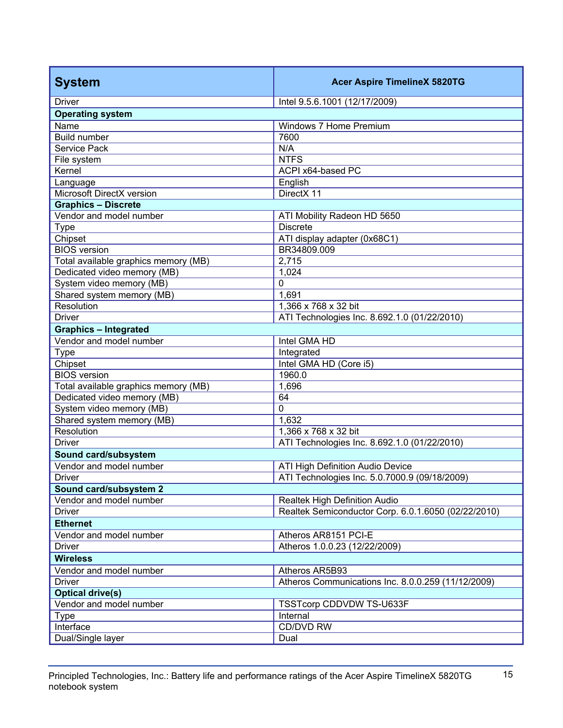| <b>System</b>                        | <b>Acer Aspire TimelineX 5820TG</b>                 |  |
|--------------------------------------|-----------------------------------------------------|--|
| <b>Driver</b>                        | Intel 9.5.6.1001 (12/17/2009)                       |  |
| <b>Operating system</b>              |                                                     |  |
| Name                                 | Windows 7 Home Premium                              |  |
| <b>Build number</b>                  | 7600                                                |  |
| Service Pack                         | N/A                                                 |  |
| File system                          | <b>NTFS</b>                                         |  |
| Kernel                               | ACPI x64-based PC                                   |  |
| Language                             | English                                             |  |
| Microsoft DirectX version            | DirectX 11                                          |  |
| <b>Graphics - Discrete</b>           |                                                     |  |
| Vendor and model number              | ATI Mobility Radeon HD 5650                         |  |
| <b>Type</b>                          | <b>Discrete</b>                                     |  |
| Chipset                              | ATI display adapter (0x68C1)                        |  |
| <b>BIOS</b> version                  | BR34809.009                                         |  |
| Total available graphics memory (MB) | 2,715                                               |  |
| Dedicated video memory (MB)          | 1,024                                               |  |
| System video memory (MB)             | 0                                                   |  |
| Shared system memory (MB)            | 1,691                                               |  |
| Resolution                           | 1,366 x 768 x 32 bit                                |  |
| <b>Driver</b>                        | ATI Technologies Inc. 8.692.1.0 (01/22/2010)        |  |
| <b>Graphics - Integrated</b>         |                                                     |  |
| Vendor and model number              | Intel GMA HD                                        |  |
| <b>Type</b>                          | Integrated                                          |  |
| Chipset                              | Intel GMA HD (Core i5)                              |  |
| <b>BIOS</b> version                  | 1960.0                                              |  |
| Total available graphics memory (MB) | 1,696                                               |  |
| Dedicated video memory (MB)          | 64                                                  |  |
| System video memory (MB)             | $\mathbf 0$                                         |  |
| Shared system memory (MB)            | 1,632                                               |  |
| Resolution                           | 1,366 x 768 x 32 bit                                |  |
| <b>Driver</b>                        | ATI Technologies Inc. 8.692.1.0 (01/22/2010)        |  |
| Sound card/subsystem                 |                                                     |  |
| Vendor and model number              | ATI High Definition Audio Device                    |  |
| Driver                               | ATI Technologies Inc. 5.0.7000.9 (09/18/2009)       |  |
| Sound card/subsystem 2               |                                                     |  |
| Vendor and model number              | Realtek High Definition Audio                       |  |
| <b>Driver</b>                        | Realtek Semiconductor Corp. 6.0.1.6050 (02/22/2010) |  |
| <b>Ethernet</b>                      |                                                     |  |
| Vendor and model number              | Atheros AR8151 PCI-E                                |  |
| <b>Driver</b>                        | Atheros 1.0.0.23 (12/22/2009)                       |  |
| <b>Wireless</b>                      |                                                     |  |
| Vendor and model number              | Atheros AR5B93                                      |  |
| <b>Driver</b>                        | Atheros Communications Inc. 8.0.0.259 (11/12/2009)  |  |
| <b>Optical drive(s)</b>              |                                                     |  |
| Vendor and model number              | TSSTcorp CDDVDW TS-U633F                            |  |
| <b>Type</b>                          | Internal                                            |  |
| Interface                            | CD/DVD RW                                           |  |
| Dual/Single layer                    | Dual                                                |  |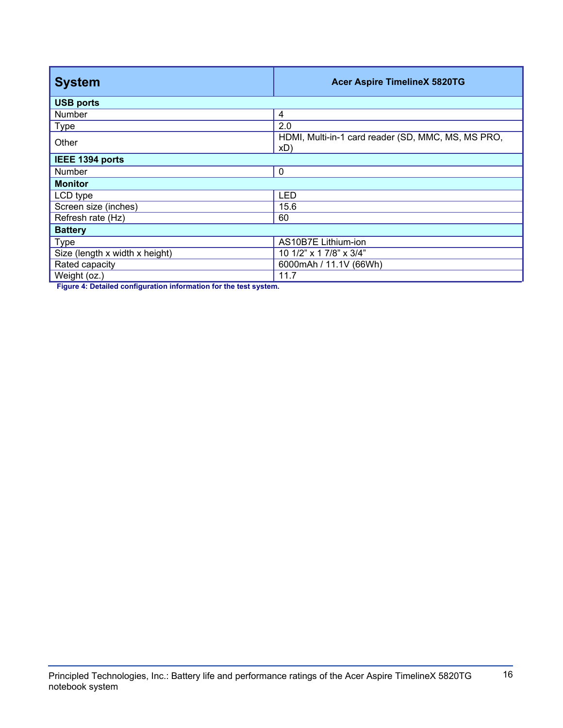| <b>System</b>                  | <b>Acer Aspire TimelineX 5820TG</b>                       |  |
|--------------------------------|-----------------------------------------------------------|--|
| <b>USB ports</b>               |                                                           |  |
| Number                         | 4                                                         |  |
| <b>Type</b>                    | 2.0                                                       |  |
| Other                          | HDMI, Multi-in-1 card reader (SD, MMC, MS, MS PRO,<br>xD) |  |
| IEEE 1394 ports                |                                                           |  |
| <b>Number</b>                  | $\mathbf 0$                                               |  |
| <b>Monitor</b>                 |                                                           |  |
| LCD type                       | <b>LED</b>                                                |  |
| Screen size (inches)           | 15.6                                                      |  |
| Refresh rate (Hz)              | 60                                                        |  |
| <b>Battery</b>                 |                                                           |  |
| <b>Type</b>                    | AS10B7E Lithium-ion                                       |  |
| Size (length x width x height) | 10 1/2" x 1 7/8" x 3/4"                                   |  |
| Rated capacity                 | 6000mAh / 11.1V (66Wh)                                    |  |
| Weight (oz.)                   | 11.7                                                      |  |

**Figure 4: Detailed configuration information for the test system.**